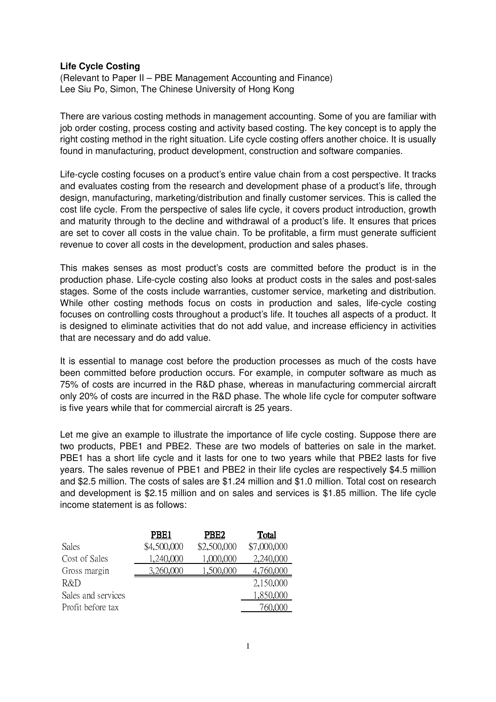## **Life Cycle Costing**

(Relevant to Paper II – PBE Management Accounting and Finance) Lee Siu Po, Simon, The Chinese University of Hong Kong

There are various costing methods in management accounting. Some of you are familiar with job order costing, process costing and activity based costing. The key concept is to apply the right costing method in the right situation. Life cycle costing offers another choice. It is usually found in manufacturing, product development, construction and software companies.

Life-cycle costing focuses on a product's entire value chain from a cost perspective. It tracks and evaluates costing from the research and development phase of a product's life, through design, manufacturing, marketing/distribution and finally customer services. This is called the cost life cycle. From the perspective of sales life cycle, it covers product introduction, growth and maturity through to the decline and withdrawal of a product's life. It ensures that prices are set to cover all costs in the value chain. To be profitable, a firm must generate sufficient revenue to cover all costs in the development, production and sales phases.

This makes senses as most product's costs are committed before the product is in the production phase. Life-cycle costing also looks at product costs in the sales and post-sales stages. Some of the costs include warranties, customer service, marketing and distribution. While other costing methods focus on costs in production and sales, life-cycle costing focuses on controlling costs throughout a product's life. It touches all aspects of a product. It is designed to eliminate activities that do not add value, and increase efficiency in activities that are necessary and do add value.

It is essential to manage cost before the production processes as much of the costs have been committed before production occurs. For example, in computer software as much as 75% of costs are incurred in the R&D phase, whereas in manufacturing commercial aircraft only 20% of costs are incurred in the R&D phase. The whole life cycle for computer software is five years while that for commercial aircraft is 25 years.

Let me give an example to illustrate the importance of life cycle costing. Suppose there are two products, PBE1 and PBE2. These are two models of batteries on sale in the market. PBE1 has a short life cycle and it lasts for one to two years while that PBE2 lasts for five years. The sales revenue of PBE1 and PBE2 in their life cycles are respectively \$4.5 million and \$2.5 million. The costs of sales are \$1.24 million and \$1.0 million. Total cost on research and development is \$2.15 million and on sales and services is \$1.85 million. The life cycle income statement is as follows:

|                    | PBE1        | PBE <sub>2</sub> | Total       |
|--------------------|-------------|------------------|-------------|
| <b>Sales</b>       | \$4,500,000 | \$2,500,000      | \$7,000,000 |
| Cost of Sales      | 1,240,000   | 1,000,000        | 2,240,000   |
| Gross margin       | 3,260,000   | 1,500,000        | 4,760,000   |
| R&D                |             |                  | 2,150,000   |
| Sales and services |             |                  | 1,850,000   |
| Profit before tax  |             |                  | /60.000     |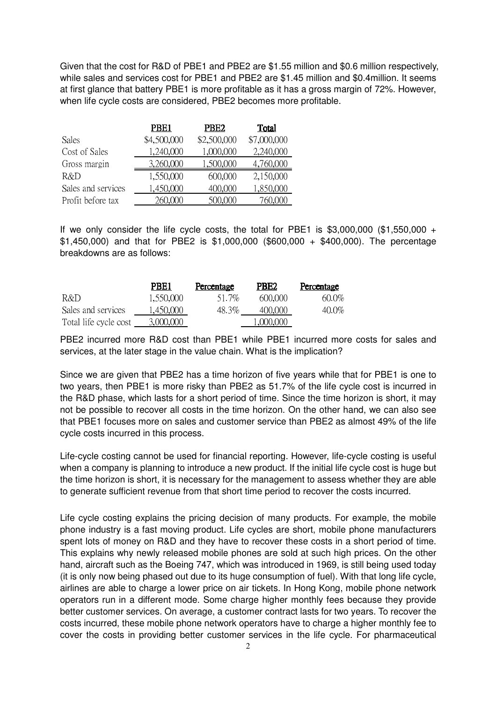Given that the cost for R&D of PBE1 and PBE2 are \$1.55 million and \$0.6 million respectively, while sales and services cost for PBE1 and PBE2 are \$1.45 million and \$0.4million. It seems at first glance that battery PBE1 is more profitable as it has a gross margin of 72%. However, when life cycle costs are considered, PBE2 becomes more profitable.

|                    | PBE <sub>1</sub> | PBE <sub>2</sub> | Total       |
|--------------------|------------------|------------------|-------------|
| Sales              | \$4,500,000      | \$2,500,000      | \$7,000,000 |
| Cost of Sales      | 1,240,000        | 1,000,000        | 2,240,000   |
| Gross margin       | 3,260,000        | 1,500,000        | 4,760,000   |
| R&D                | 1,550,000        | 600,000          | 2,150,000   |
| Sales and services | 1,450,000        | 400,000          | 1,850,000   |
| Profit before tax  | 260,000          | 500,000          | 760,000     |

If we only consider the life cycle costs, the total for PBE1 is  $$3,000,000$  (\$1,550,000 + \$1,450,000) and that for PBE2 is \$1,000,000 (\$600,000 + \$400,000). The percentage breakdowns are as follows:

|                       | PBE1      | Percentage | PBE <sub>2</sub> | Percentage |
|-----------------------|-----------|------------|------------------|------------|
| R&D                   | 1.550,000 | 51.7%      | 600,000          | $60.0\%$   |
| Sales and services    | 1,450,000 | 48.3%      | 400.000          | $40.0\%$   |
| Total life cycle cost | 3.000.000 |            | 1.000.000        |            |

PBE2 incurred more R&D cost than PBE1 while PBE1 incurred more costs for sales and services, at the later stage in the value chain. What is the implication?

Since we are given that PBE2 has a time horizon of five years while that for PBE1 is one to two years, then PBE1 is more risky than PBE2 as 51.7% of the life cycle cost is incurred in the R&D phase, which lasts for a short period of time. Since the time horizon is short, it may not be possible to recover all costs in the time horizon. On the other hand, we can also see that PBE1 focuses more on sales and customer service than PBE2 as almost 49% of the life cycle costs incurred in this process.

Life-cycle costing cannot be used for financial reporting. However, life-cycle costing is useful when a company is planning to introduce a new product. If the initial life cycle cost is huge but the time horizon is short, it is necessary for the management to assess whether they are able to generate sufficient revenue from that short time period to recover the costs incurred.

Life cycle costing explains the pricing decision of many products. For example, the mobile phone industry is a fast moving product. Life cycles are short, mobile phone manufacturers spent lots of money on R&D and they have to recover these costs in a short period of time. This explains why newly released mobile phones are sold at such high prices. On the other hand, aircraft such as the Boeing 747, which was introduced in 1969, is still being used today (it is only now being phased out due to its huge consumption of fuel). With that long life cycle, airlines are able to charge a lower price on air tickets. In Hong Kong, mobile phone network operators run in a different mode. Some charge higher monthly fees because they provide better customer services. On average, a customer contract lasts for two years. To recover the costs incurred, these mobile phone network operators have to charge a higher monthly fee to cover the costs in providing better customer services in the life cycle. For pharmaceutical